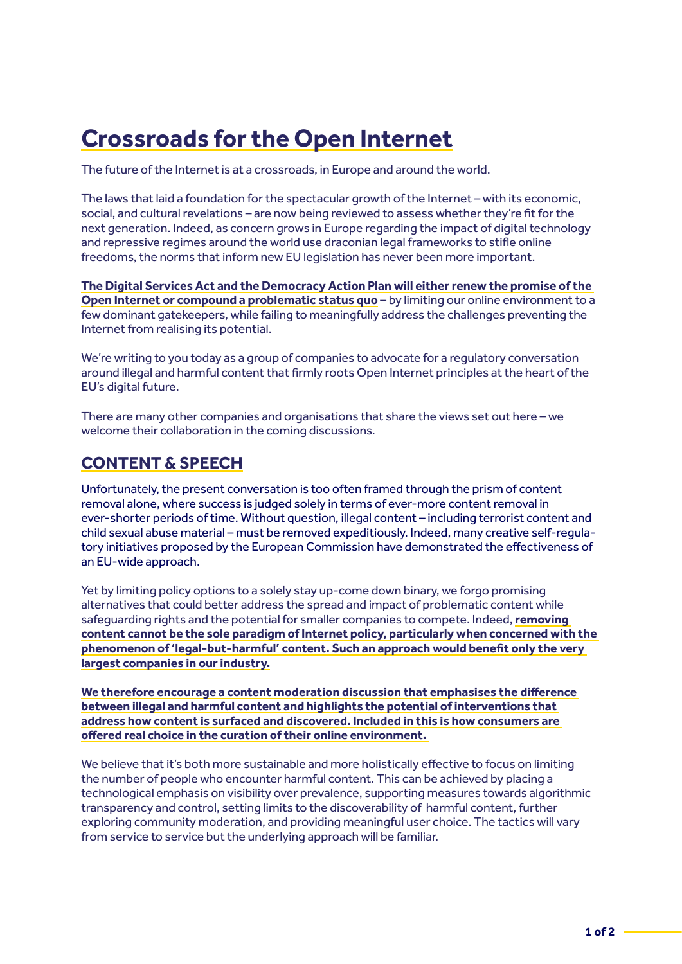## **Crossroads for the Open Internet**

The future of the Internet is at a crossroads, in Europe and around the world.

The laws that laid a foundation for the spectacular growth of the Internet – with its economic, social, and cultural revelations – are now being reviewed to assess whether they're fit for the next generation. Indeed, as concern grows in Europe regarding the impact of digital technology and repressive regimes around the world use draconian legal frameworks to stifle online freedoms, the norms that inform new EU legislation has never been more important.

**The Digital Services Act and the Democracy Action Plan will either renew the promise of the Open Internet or compound a problematic status quo** – by limiting our online environment to a few dominant gatekeepers, while failing to meaningfully address the challenges preventing the Internet from realising its potential.

We're writing to you today as a group of companies to advocate for a regulatory conversation around illegal and harmful content that firmly roots Open Internet principles at the heart of the EU's digital future.

There are many other companies and organisations that share the views set out here – we welcome their collaboration in the coming discussions.

## **CONTENT & SPEECH**

Unfortunately, the present conversation is too often framed through the prism of content removal alone, where success is judged solely in terms of ever-more content removal in ever-shorter periods of time. Without question, illegal content – including terrorist content and child sexual abuse material – must be removed expeditiously. Indeed, many creative self-regulatory initiatives proposed by the European Commission have demonstrated the effectiveness of an EU-wide approach.

Yet by limiting policy options to a solely stay up-come down binary, we forgo promising alternatives that could better address the spread and impact of problematic content while safeguarding rights and the potential for smaller companies to compete. Indeed, **removing content cannot be the sole paradigm of Internet policy, particularly when concerned with the phenomenon of 'legal-but-harmful' content. Such an approach would benefit only the very largest companies in our industry.**

**We therefore encourage a content moderation discussion that emphasises the difference between illegal and harmful content and highlights the potential of interventions that address how content is surfaced and discovered. Included in this is how consumers are offered real choice in the curation of their online environment.** 

We believe that it's both more sustainable and more holistically effective to focus on limiting the number of people who encounter harmful content. This can be achieved by placing a technological emphasis on visibility over prevalence, supporting measures towards algorithmic transparency and control, setting limits to the discoverability of harmful content, further exploring community moderation, and providing meaningful user choice. The tactics will vary from service to service but the underlying approach will be familiar.